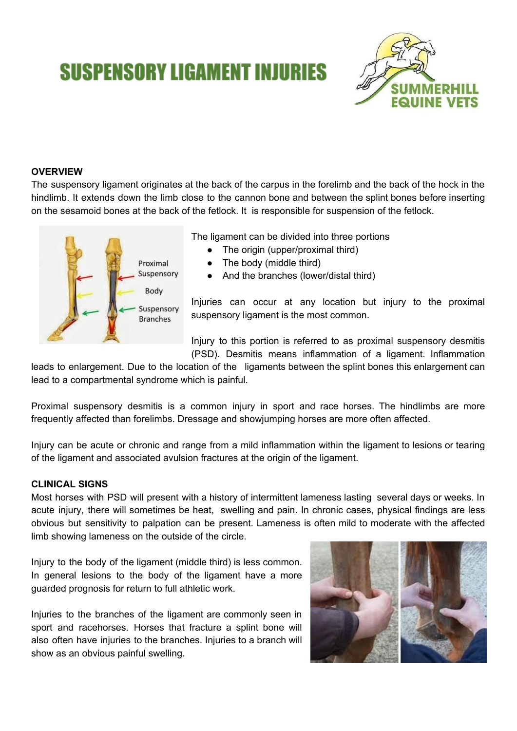# **SUSPENSORY LIGAMENT INJURIES**



## **OVERVIEW**

The suspensory ligament originates at the back of the carpus in the forelimb and the back of the hock in the hindlimb. It extends down the limb close to the cannon bone and between the splint bones before inserting on the sesamoid bones at the back of the fetlock. It is responsible for suspension of the fetlock.



The ligament can be divided into three portions

- The origin (upper/proximal third)
- The body (middle third)
- And the branches (lower/distal third)

Injuries can occur at any location but injury to the proximal suspensory ligament is the most common.

Injury to this portion is referred to as proximal suspensory desmitis (PSD). Desmitis means inflammation of a ligament. Inflammation

leads to enlargement. Due to the location of the ligaments between the splint bones this enlargement can lead to a compartmental syndrome which is painful.

Proximal suspensory desmitis is a common injury in sport and race horses. The hindlimbs are more frequently affected than forelimbs. Dressage and showjumping horses are more often affected.

Injury can be acute or chronic and range from a mild inflammation within the ligament to lesions or tearing of the ligament and associated avulsion fractures at the origin of the ligament.

#### **CLINICAL SIGNS**

Most horses with PSD will present with a history of intermittent lameness lasting several days or weeks. In acute injury, there will sometimes be heat, swelling and pain. In chronic cases, physical findings are less obvious but sensitivity to palpation can be present. Lameness is often mild to moderate with the affected limb showing lameness on the outside of the circle.

Injury to the body of the ligament (middle third) is less common. In general lesions to the body of the ligament have a more guarded prognosis for return to full athletic work.

Injuries to the branches of the ligament are commonly seen in sport and racehorses. Horses that fracture a splint bone will also often have injuries to the branches. Injuries to a branch will show as an obvious painful swelling.